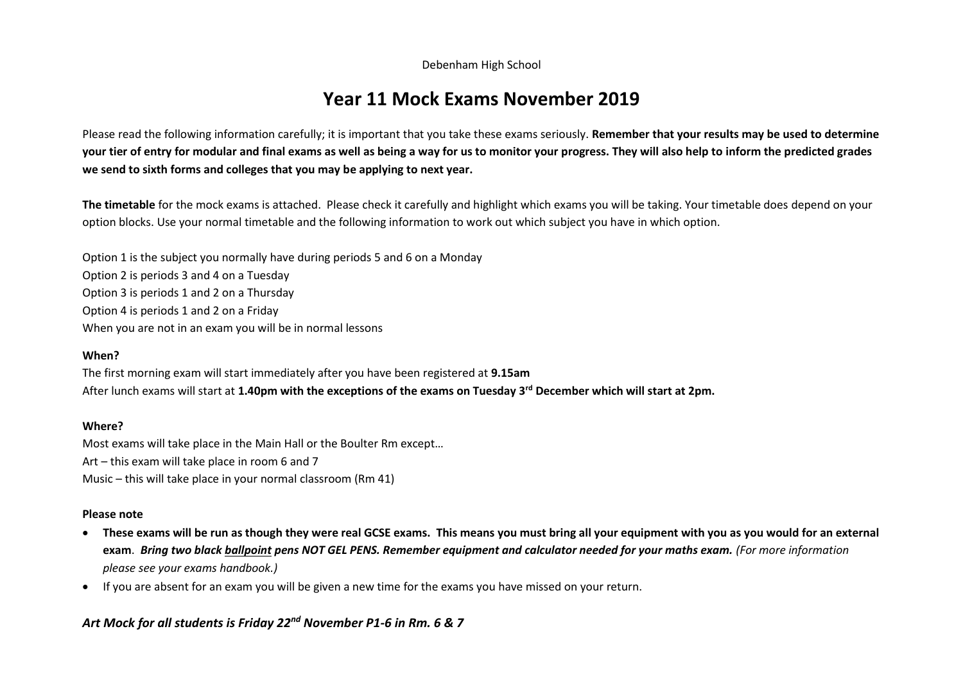Debenham High School

# **Year 11 Mock Exams November 2019**

Please read the following information carefully; it is important that you take these exams seriously. **Remember that your results may be used to determine your tier of entry for modular and final exams as well as being a way for us to monitor your progress. They will also help to inform the predicted grades we send to sixth forms and colleges that you may be applying to next year.** 

**The timetable** for the mock exams is attached. Please check it carefully and highlight which exams you will be taking. Your timetable does depend on your option blocks. Use your normal timetable and the following information to work out which subject you have in which option.

Option 1 is the subject you normally have during periods 5 and 6 on a Monday Option 2 is periods 3 and 4 on a Tuesday Option 3 is periods 1 and 2 on a Thursday Option 4 is periods 1 and 2 on a Friday When you are not in an exam you will be in normal lessons

### **When?**

The first morning exam will start immediately after you have been registered at **9.15am** After lunch exams will start at **1.40pm with the exceptions of the exams on Tuesday 3rd December which will start at 2pm.**

#### **Where?**

Most exams will take place in the Main Hall or the Boulter Rm except…

Art – this exam will take place in room 6 and 7

Music – this will take place in your normal classroom (Rm 41)

#### **Please note**

- **These exams will be run as though they were real GCSE exams. This means you must bring all your equipment with you as you would for an external exam**. *Bring two black ballpoint pens NOT GEL PENS. Remember equipment and calculator needed for your maths exam. (For more information please see your exams handbook.)*
- If you are absent for an exam you will be given a new time for the exams you have missed on your return.

## *Art Mock for all students is Friday 22nd November P1-6 in Rm. 6 & 7*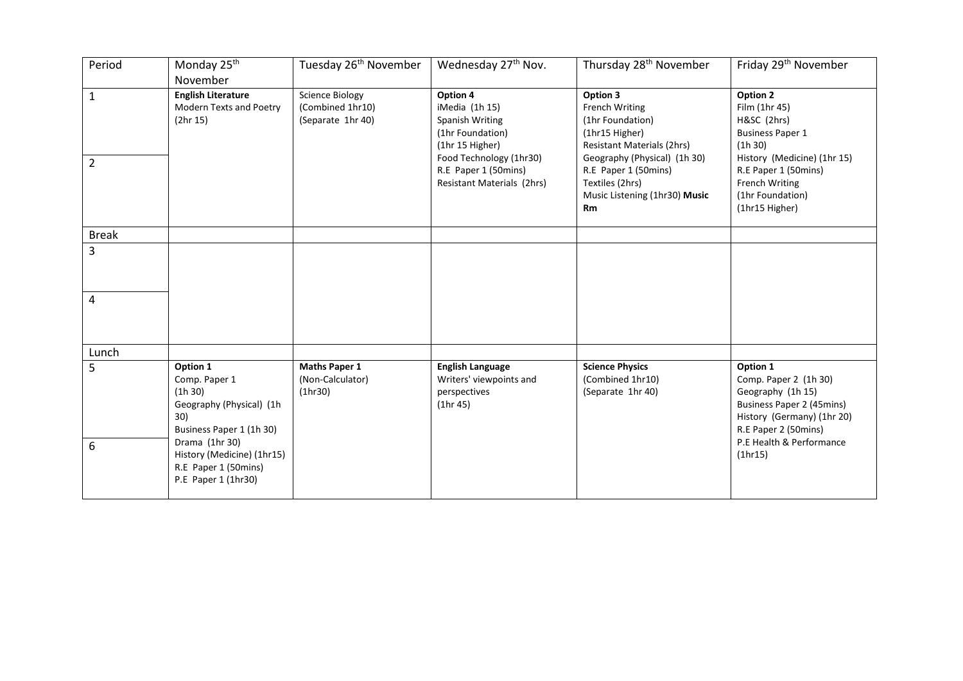| Period                         | Monday 25 <sup>th</sup><br>November                                                                                                                                                                | Tuesday 26 <sup>th</sup> November                               | Wednesday 27 <sup>th</sup> Nov.                                                                                                                                       | Thursday 28 <sup>th</sup> November                                                                                                                                                                                      | Friday 29 <sup>th</sup> November                                                                                                                                                              |
|--------------------------------|----------------------------------------------------------------------------------------------------------------------------------------------------------------------------------------------------|-----------------------------------------------------------------|-----------------------------------------------------------------------------------------------------------------------------------------------------------------------|-------------------------------------------------------------------------------------------------------------------------------------------------------------------------------------------------------------------------|-----------------------------------------------------------------------------------------------------------------------------------------------------------------------------------------------|
| $\mathbf{1}$<br>$\overline{2}$ | <b>English Literature</b><br>Modern Texts and Poetry<br>(2hr 15)                                                                                                                                   | <b>Science Biology</b><br>(Combined 1hr10)<br>(Separate 1hr 40) | Option 4<br>iMedia (1h 15)<br>Spanish Writing<br>(1hr Foundation)<br>(1hr 15 Higher)<br>Food Technology (1hr30)<br>R.E Paper 1 (50mins)<br>Resistant Materials (2hrs) | Option 3<br>French Writing<br>(1hr Foundation)<br>(1hr15 Higher)<br><b>Resistant Materials (2hrs)</b><br>Geography (Physical) (1h 30)<br>R.E Paper 1 (50mins)<br>Textiles (2hrs)<br>Music Listening (1hr30) Music<br>Rm | Option 2<br>Film (1hr 45)<br>H&SC (2hrs)<br><b>Business Paper 1</b><br>(1h 30)<br>History (Medicine) (1hr 15)<br>R.E Paper 1 (50mins)<br>French Writing<br>(1hr Foundation)<br>(1hr15 Higher) |
| <b>Break</b>                   |                                                                                                                                                                                                    |                                                                 |                                                                                                                                                                       |                                                                                                                                                                                                                         |                                                                                                                                                                                               |
| 3<br>4                         |                                                                                                                                                                                                    |                                                                 |                                                                                                                                                                       |                                                                                                                                                                                                                         |                                                                                                                                                                                               |
| Lunch                          |                                                                                                                                                                                                    |                                                                 |                                                                                                                                                                       |                                                                                                                                                                                                                         |                                                                                                                                                                                               |
| 5<br>6                         | Option 1<br>Comp. Paper 1<br>(1h 30)<br>Geography (Physical) (1h<br>30)<br>Business Paper 1 (1h 30)<br>Drama (1hr 30)<br>History (Medicine) (1hr15)<br>R.E Paper 1 (50mins)<br>P.E Paper 1 (1hr30) | <b>Maths Paper 1</b><br>(Non-Calculator)<br>(1hr30)             | <b>English Language</b><br>Writers' viewpoints and<br>perspectives<br>(1hr 45)                                                                                        | <b>Science Physics</b><br>(Combined 1hr10)<br>(Separate 1hr 40)                                                                                                                                                         | Option 1<br>Comp. Paper 2 (1h 30)<br>Geography (1h 15)<br><b>Business Paper 2 (45mins)</b><br>History (Germany) (1hr 20)<br>R.E Paper 2 (50mins)<br>P.E Health & Performance<br>(1hr15)       |